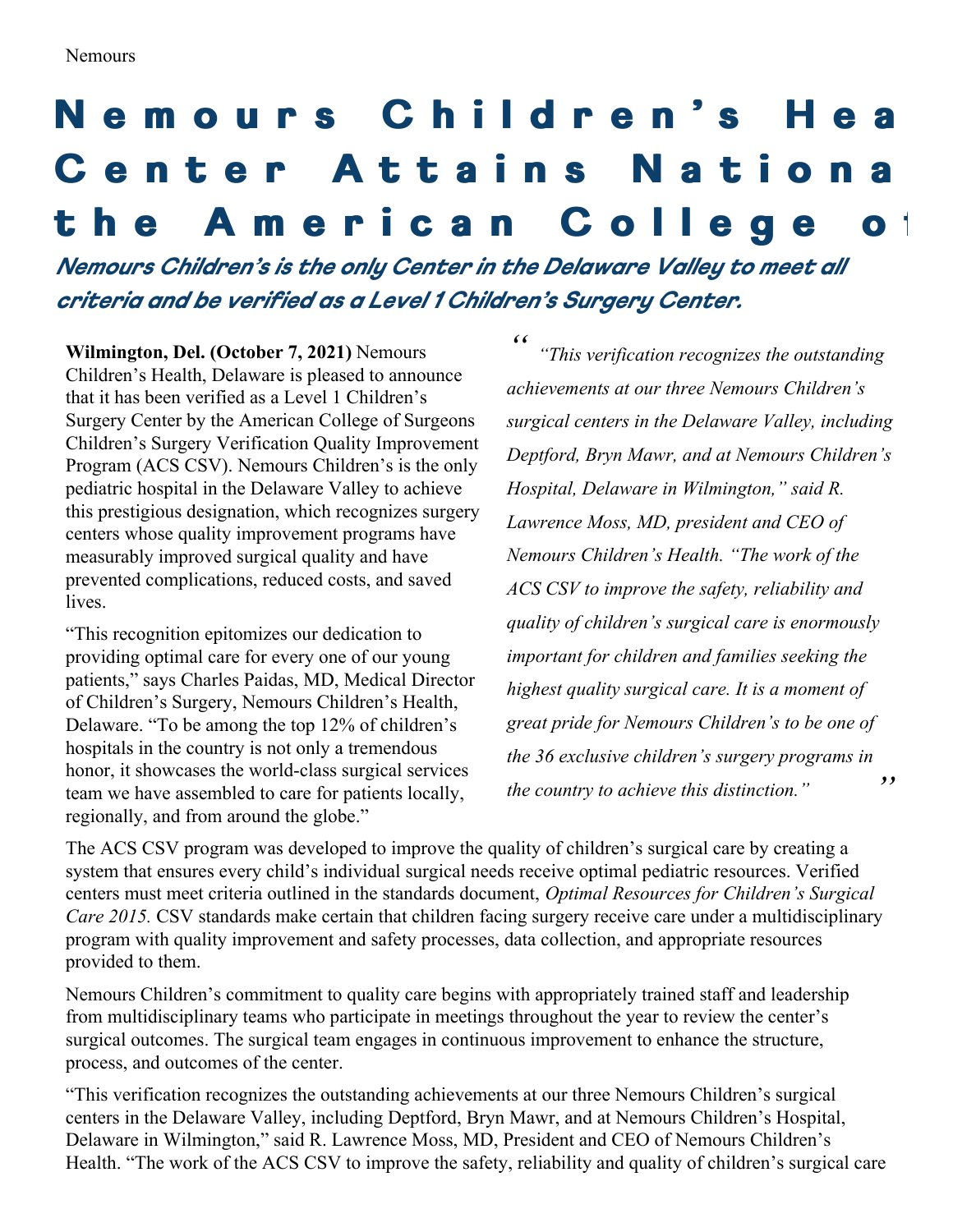## Nemours Children's Hea Center Attains Nationa the American College of

*Nemours Children's is the only Center in the Delaware Val ey to meet al criteria and be verified as <sup>a</sup> Level 1 Children's Surgery Center.*

**Wilmington, Del. (October 7, 2021)** Nemours Children's Health, Delaware is pleased to announce that it has been verified as a Level 1 Children's Surgery Center by the American College of Surgeons Children's Surgery Verification Quality Improvement Program (ACS CSV). Nemours Children's is the only pediatric hospital in the Delaware Valley to achieve this prestigious designation, which recognizes surgery centers whose quality improvement programs have measurably improved surgical quality and have prevented complications, reduced costs, and saved lives.

"This recognition epitomizes our dedication to providing optimal care for every one of our young patients," says Charles Paidas, MD, Medical Director of Children's Surgery, Nemours Children's Health, Delaware. "To be among the top 12% of children's hospitals in the country is not only a tremendous honor, it showcases the world-class surgical services team we have assembled to care for patients locally, regionally, and from around the globe."

*" " "This verification recognizes the outstanding achievements at our three Nemours Children's surgical centers in the Delaware Valley, including Deptford, Bryn Mawr, and at Nemours Children's Hospital, Delaware in Wilmington," said R. Lawrence Moss, MD, president and CEO of Nemours Children's Health. "The work of the ACS CSV to improve the safety, reliability and quality of children's surgical care is enormously important for children and families seeking the highest quality surgical care. It is a moment of great pride for Nemours Children's to be one of the 36 exclusive children's surgery programs in the country to achieve this distinction."*

The ACS CSV program was developed to improve the quality of children's surgical care by creating a system that ensures every child's individual surgical needs receive optimal pediatric resources. Verified centers must meet criteria outlined in the standards document, *Optimal Resources for Children's Surgical Care 2015.* CSV standards make certain that children facing surgery receive care under a multidisciplinary program with quality improvement and safety processes, data collection, and appropriate resources provided to them.

Nemours Children's commitment to quality care begins with appropriately trained staff and leadership from multidisciplinary teams who participate in meetings throughout the year to review the center's surgical outcomes. The surgical team engages in continuous improvement to enhance the structure, process, and outcomes of the center.

"This verification recognizes the outstanding achievements at our three Nemours Children's surgical centers in the Delaware Valley, including Deptford, Bryn Mawr, and at Nemours Children's Hospital, Delaware in Wilmington," said R. Lawrence Moss, MD, President and CEO of Nemours Children's Health. "The work of the ACS CSV to improve the safety, reliability and quality of children's surgical care